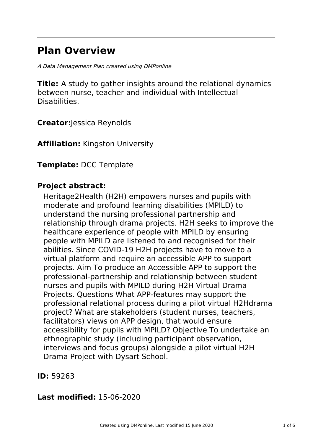# **Plan Overview**

A Data Management Plan created using DMPonline

**Title:** A study to gather insights around the relational dynamics between nurse, teacher and individual with Intellectual Disabilities.

**Creator:**Jessica Reynolds

**Affiliation:** Kingston University

**Template:** DCC Template

## **Project abstract:**

Heritage2Health (H2H) empowers nurses and pupils with moderate and profound learning disabilities (MPILD) to understand the nursing professional partnership and relationship through drama projects. H2H seeks to improve the healthcare experience of people with MPILD by ensuring people with MPILD are listened to and recognised for their abilities. Since COVID-19 H2H projects have to move to a virtual platform and require an accessible APP to support projects. Aim To produce an Accessible APP to support the professional-partnership and relationship between student nurses and pupils with MPILD during H2H Virtual Drama Projects. Questions What APP-features may support the professional relational process during a pilot virtual H2Hdrama project? What are stakeholders (student nurses, teachers, facilitators) views on APP design, that would ensure accessibility for pupils with MPILD? Objective To undertake an ethnographic study (including participant observation, interviews and focus groups) alongside a pilot virtual H2H Drama Project with Dysart School.

**ID:** 59263

### **Last modified:** 15-06-2020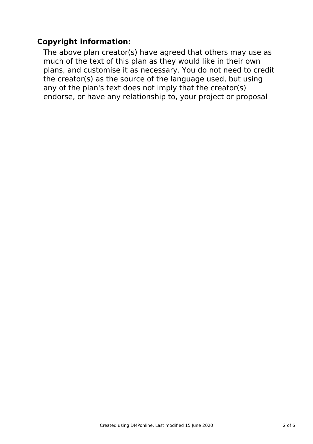# **Copyright information:**

The above plan creator(s) have agreed that others may use as much of the text of this plan as they would like in their own plans, and customise it as necessary. You do not need to credit the creator(s) as the source of the language used, but using any of the plan's text does not imply that the creator(s) endorse, or have any relationship to, your project or proposal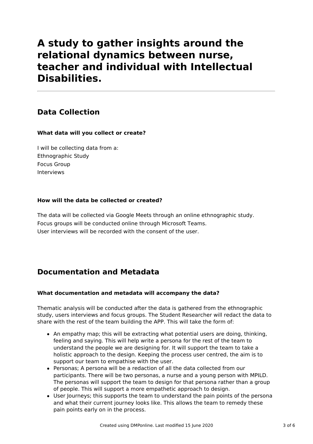# **A study to gather insights around the relational dynamics between nurse, teacher and individual with Intellectual Disabilities.**

# **Data Collection**

### **What data will you collect or create?**

I will be collecting data from a: Ethnographic Study Focus Group Interviews

### **How will the data be collected or created?**

The data will be collected via Google Meets through an online ethnographic study. Focus groups will be conducted online through Microsoft Teams. User interviews will be recorded with the consent of the user.

# **Documentation and Metadata**

### **What documentation and metadata will accompany the data?**

Thematic analysis will be conducted after the data is gathered from the ethnographic study, users interviews and focus groups. The Student Researcher will redact the data to share with the rest of the team building the APP. This will take the form of:

- An empathy map; this will be extracting what potential users are doing, thinking, feeling and saying. This will help write a persona for the rest of the team to understand the people we are designing for. It will support the team to take a holistic approach to the design. Keeping the process user centred, the aim is to support our team to empathise with the user.
- Personas: A persona will be a redaction of all the data collected from our participants. There will be two personas, a nurse and a young person with MPILD. The personas will support the team to design for that persona rather than a group of people. This will support a more empathetic approach to design.
- User Journeys; this supports the team to understand the pain points of the persona and what their current journey looks like. This allows the team to remedy these pain points early on in the process.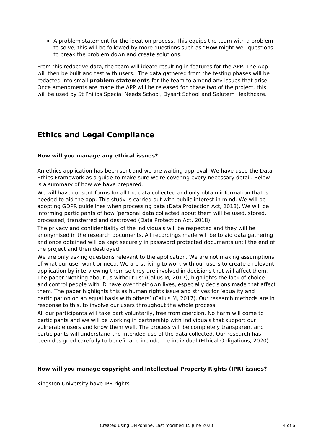A problem statement for the ideation process. This equips the team with a problem to solve, this will be followed by more questions such as "How might we" questions to break the problem down and create solutions.

From this redactive data, the team will ideate resulting in features for the APP. The App will then be built and test with users. The data gathered from the testing phases will be redacted into small **problem statements** for the team to amend any issues that arise. Once amendments are made the APP will be released for phase two of the project, this will be used by St Philips Special Needs School, Dysart School and Salutem Healthcare.

## **Ethics and Legal Compliance**

### **How will you manage any ethical issues?**

An ethics application has been sent and we are waiting approval. We have used the Data Ethics Framework as a guide to make sure we're covering every necessary detail. Below is a summary of how we have prepared.

We will have consent forms for all the data collected and only obtain information that is needed to aid the app. This study is carried out with public interest in mind. We will be adopting GDPR guidelines when processing data (Data Protection Act, 2018). We will be informing participants of how 'personal data collected about them will be used, stored, processed, transferred and destroyed (Data Protection Act, 2018).

The privacy and confidentiality of the individuals will be respected and they will be anonymised in the research documents. All recordings made will be to aid data gathering and once obtained will be kept securely in password protected documents until the end of the project and then destroyed.

We are only asking questions relevant to the application. We are not making assumptions of what our user want or need. We are striving to work with our users to create a relevant application by interviewing them so they are involved in decisions that will affect them. The paper 'Nothing about us without us' (Callus M, 2017), highlights the lack of choice and control people with ID have over their own lives, especially decisions made that affect them. The paper highlights this as human rights issue and strives for 'equality and participation on an equal basis with others' (Callus M, 2017). Our research methods are in response to this, to involve our users throughout the whole process.

All our participants will take part voluntarily, free from coercion. No harm will come to participants and we will be working in partnership with individuals that support our vulnerable users and know them well. The process will be completely transparent and participants will understand the intended use of the data collected. Our research has been designed carefully to benefit and include the individual (Ethical Obligations, 2020).

#### **How will you manage copyright and Intellectual Property Rights (IPR) issues?**

Kingston University have IPR rights.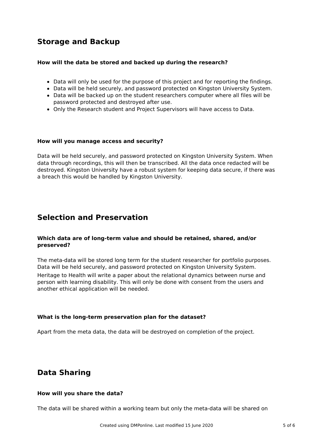## **Storage and Backup**

#### **How will the data be stored and backed up during the research?**

- Data will only be used for the purpose of this project and for reporting the findings.
- Data will be held securely, and password protected on Kingston University System.
- Data will be backed up on the student researchers computer where all files will be password protected and destroyed after use.
- Only the Research student and Project Supervisors will have access to Data.

#### **How will you manage access and security?**

Data will be held securely, and password protected on Kingston University System. When data through recordings, this will then be transcribed. All the data once redacted will be destroyed. Kingston University have a robust system for keeping data secure, if there was a breach this would be handled by Kingston University.

### **Selection and Preservation**

#### **Which data are of long-term value and should be retained, shared, and/or preserved?**

The meta-data will be stored long term for the student researcher for portfolio purposes. Data will be held securely, and password protected on Kingston University System. Heritage to Health will write a paper about the relational dynamics between nurse and person with learning disability. This will only be done with consent from the users and another ethical application will be needed.

#### **What is the long-term preservation plan for the dataset?**

Apart from the meta data, the data will be destroyed on completion of the project.

### **Data Sharing**

#### **How will you share the data?**

The data will be shared within a working team but only the meta-data will be shared on